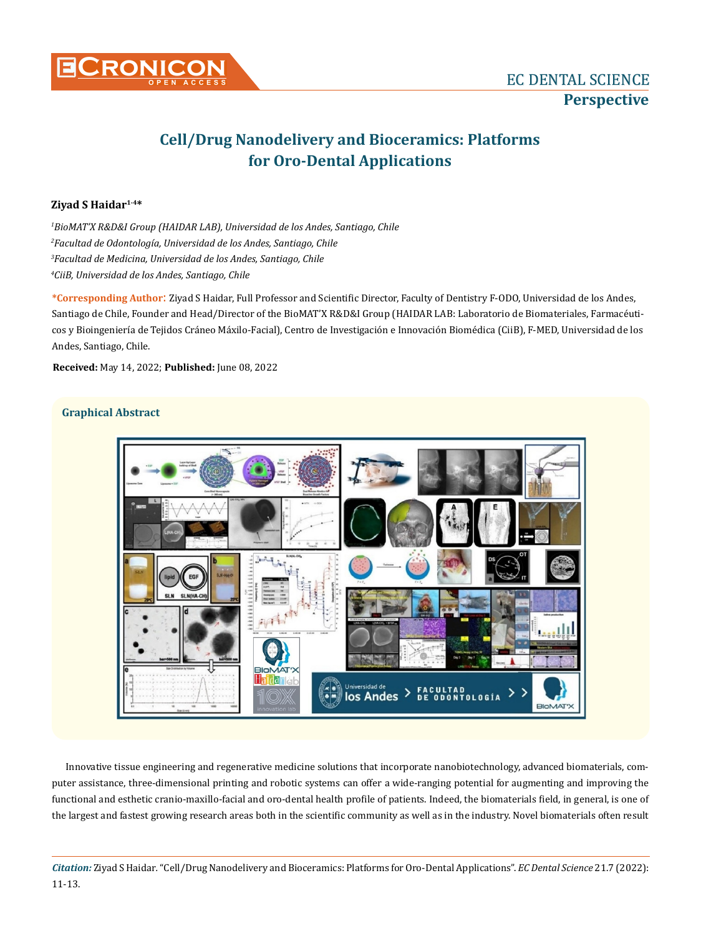

# **Cell/Drug Nanodelivery and Bioceramics: Platforms for Oro-Dental Applications**

# **Ziyad S Haidar1-4\***

 *BioMAT'X R&D&I Group (HAIDAR LAB), Universidad de los Andes, Santiago, Chile Facultad de Odontología, Universidad de los Andes, Santiago, Chile Facultad de Medicina, Universidad de los Andes, Santiago, Chile CiiB, Universidad de los Andes, Santiago, Chile*

**\*Corresponding Author**: Ziyad S Haidar, Full Professor and Scientific Director, Faculty of Dentistry F-ODO, Universidad de los Andes, Santiago de Chile, Founder and Head/Director of the BioMAT'X R&D&I Group (HAIDAR LAB: Laboratorio de Biomateriales, Farmacéuticos y Bioingeniería de Tejidos Cráneo Máxilo-Facial), Centro de Investigación e Innovación Biomédica (CiiB), F-MED, Universidad de los Andes, Santiago, Chile.

**Received:** May 14, 2022; **Published:** June 08, 2022

# **Graphical Abstract**



Innovative tissue engineering and regenerative medicine solutions that incorporate nanobiotechnology, advanced biomaterials, computer assistance, three-dimensional printing and robotic systems can offer a wide-ranging potential for augmenting and improving the functional and esthetic cranio-maxillo-facial and oro-dental health profile of patients. Indeed, the biomaterials field, in general, is one of the largest and fastest growing research areas both in the scientific community as well as in the industry. Novel biomaterials often result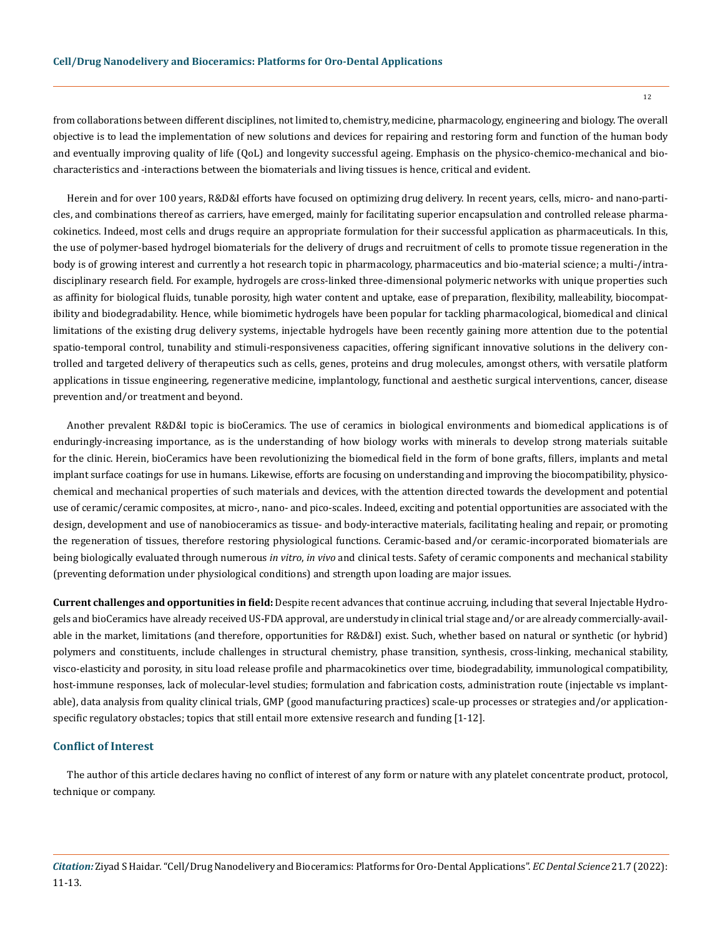from collaborations between different disciplines, not limited to, chemistry, medicine, pharmacology, engineering and biology. The overall objective is to lead the implementation of new solutions and devices for repairing and restoring form and function of the human body and eventually improving quality of life (QoL) and longevity successful ageing. Emphasis on the physico-chemico-mechanical and biocharacteristics and -interactions between the biomaterials and living tissues is hence, critical and evident.

Herein and for over 100 years, R&D&I efforts have focused on optimizing drug delivery. In recent years, cells, micro- and nano-particles, and combinations thereof as carriers, have emerged, mainly for facilitating superior encapsulation and controlled release pharmacokinetics. Indeed, most cells and drugs require an appropriate formulation for their successful application as pharmaceuticals. In this, the use of polymer-based hydrogel biomaterials for the delivery of drugs and recruitment of cells to promote tissue regeneration in the body is of growing interest and currently a hot research topic in pharmacology, pharmaceutics and bio-material science; a multi-/intradisciplinary research field. For example, hydrogels are cross-linked three-dimensional polymeric networks with unique properties such as affinity for biological fluids, tunable porosity, high water content and uptake, ease of preparation, flexibility, malleability, biocompatibility and biodegradability. Hence, while biomimetic hydrogels have been popular for tackling pharmacological, biomedical and clinical limitations of the existing drug delivery systems, injectable hydrogels have been recently gaining more attention due to the potential spatio-temporal control, tunability and stimuli-responsiveness capacities, offering significant innovative solutions in the delivery controlled and targeted delivery of therapeutics such as cells, genes, proteins and drug molecules, amongst others, with versatile platform applications in tissue engineering, regenerative medicine, implantology, functional and aesthetic surgical interventions, cancer, disease prevention and/or treatment and beyond.

Another prevalent R&D&I topic is bioCeramics. The use of ceramics in biological environments and biomedical applications is of enduringly-increasing importance, as is the understanding of how biology works with minerals to develop strong materials suitable for the clinic. Herein, bioCeramics have been revolutionizing the biomedical field in the form of bone grafts, fillers, implants and metal implant surface coatings for use in humans. Likewise, efforts are focusing on understanding and improving the biocompatibility, physicochemical and mechanical properties of such materials and devices, with the attention directed towards the development and potential use of ceramic/ceramic composites, at micro-, nano- and pico-scales. Indeed, exciting and potential opportunities are associated with the design, development and use of nanobioceramics as tissue- and body-interactive materials, facilitating healing and repair, or promoting the regeneration of tissues, therefore restoring physiological functions. Ceramic-based and/or ceramic-incorporated biomaterials are being biologically evaluated through numerous *in vitro*, *in vivo* and clinical tests. Safety of ceramic components and mechanical stability (preventing deformation under physiological conditions) and strength upon loading are major issues.

**Current challenges and opportunities in field:** Despite recent advances that continue accruing, including that several Injectable Hydrogels and bioCeramics have already received US-FDA approval, are understudy in clinical trial stage and/or are already commercially-available in the market, limitations (and therefore, opportunities for R&D&I) exist. Such, whether based on natural or synthetic (or hybrid) polymers and constituents, include challenges in structural chemistry, phase transition, synthesis, cross-linking, mechanical stability, visco-elasticity and porosity, in situ load release profile and pharmacokinetics over time, biodegradability, immunological compatibility, host-immune responses, lack of molecular-level studies; formulation and fabrication costs, administration route (injectable vs implantable), data analysis from quality clinical trials, GMP (good manufacturing practices) scale-up processes or strategies and/or applicationspecific regulatory obstacles; topics that still entail more extensive research and funding [1-12].

#### **Conflict of Interest**

The author of this article declares having no conflict of interest of any form or nature with any platelet concentrate product, protocol, technique or company.

*Citation:* Ziyad S Haidar*.* "Cell/Drug Nanodelivery and Bioceramics: Platforms for Oro-Dental Applications". *EC Dental Science* 21.7 (2022): 11-13.

12